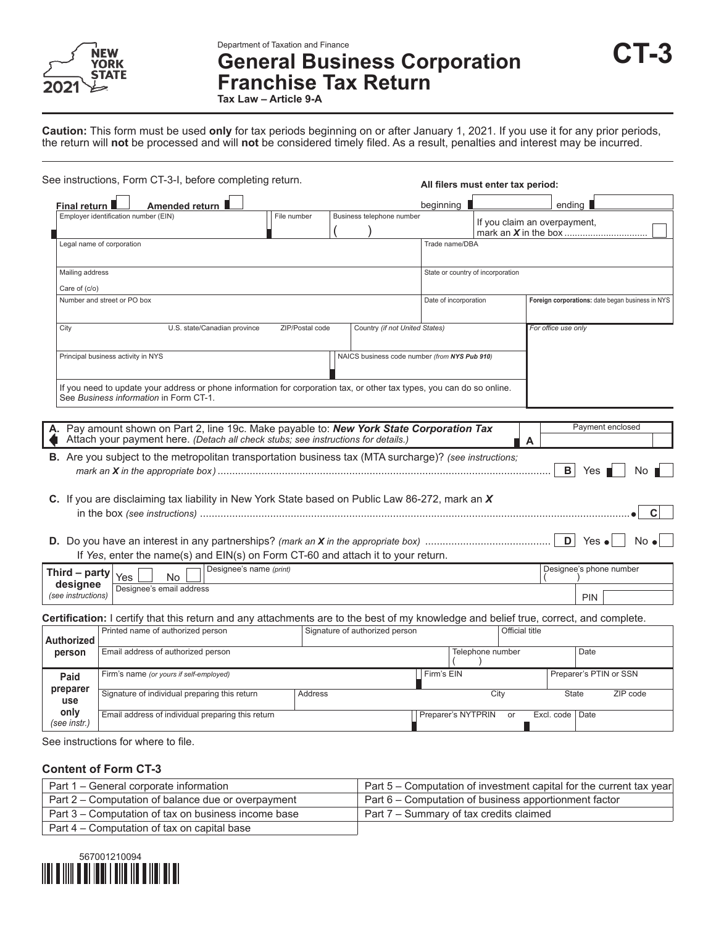

**Department of Taxation and Finance**<br>General Business Corporation CT-3 **Franchise Tax Return**

**Tax Law – Article 9-A**

**Caution:** This form must be used **only** for tax periods beginning on or after January 1, 2021. If you use it for any prior periods, the return will **not** be processed and will **not** be considered timely filed. As a result, penalties and interest may be incurred.

|                      | See instructions, Form CT-3-I, before completing return.                                                                                                                   |                              |                 |                                               |                                   | All filers must enter tax period: |                     |                         |                                                  |
|----------------------|----------------------------------------------------------------------------------------------------------------------------------------------------------------------------|------------------------------|-----------------|-----------------------------------------------|-----------------------------------|-----------------------------------|---------------------|-------------------------|--------------------------------------------------|
| Final return         | Amended return                                                                                                                                                             |                              |                 |                                               | beginning                         |                                   | ending              |                         |                                                  |
|                      | Employer identification number (EIN)                                                                                                                                       | File number                  |                 | Business telephone number                     |                                   | If you claim an overpayment,      |                     |                         |                                                  |
|                      | Legal name of corporation                                                                                                                                                  |                              |                 |                                               | Trade name/DBA                    |                                   |                     |                         |                                                  |
| Mailing address      |                                                                                                                                                                            |                              |                 |                                               | State or country of incorporation |                                   |                     |                         |                                                  |
| Care of (c/o)        |                                                                                                                                                                            |                              |                 |                                               |                                   |                                   |                     |                         |                                                  |
|                      | Number and street or PO box                                                                                                                                                |                              |                 |                                               | Date of incorporation             |                                   |                     |                         | Foreign corporations: date began business in NYS |
| City                 |                                                                                                                                                                            | U.S. state/Canadian province | ZIP/Postal code | Country (if not United States)                |                                   |                                   | For office use only |                         |                                                  |
|                      | Principal business activity in NYS                                                                                                                                         |                              |                 | NAICS business code number (from NYS Pub 910) |                                   |                                   |                     |                         |                                                  |
|                      | If you need to update your address or phone information for corporation tax, or other tax types, you can do so online.<br>See Business information in Form CT-1.           |                              |                 |                                               |                                   |                                   |                     |                         |                                                  |
|                      |                                                                                                                                                                            |                              |                 |                                               |                                   |                                   |                     |                         |                                                  |
|                      | Pay amount shown on Part 2, line 19c. Make payable to: New York State Corporation Tax<br>Attach your payment here. (Detach all check stubs; see instructions for details.) |                              |                 |                                               |                                   |                                   | A                   | Payment enclosed        |                                                  |
|                      | B. Are you subject to the metropolitan transportation business tax (MTA surcharge)? (see instructions;                                                                     |                              |                 |                                               |                                   |                                   | в                   | Yes                     |                                                  |
|                      | C. If you are disclaiming tax liability in New York State based on Public Law 86-272, mark an X                                                                            |                              |                 |                                               |                                   |                                   |                     |                         |                                                  |
|                      |                                                                                                                                                                            |                              |                 |                                               |                                   |                                   |                     |                         | С                                                |
|                      | If Yes, enter the name(s) and EIN(s) on Form CT-60 and attach it to your return.                                                                                           |                              |                 |                                               |                                   |                                   | $\mathsf{D}$        | Yes $\bullet$           | No e                                             |
| Third - party        |                                                                                                                                                                            | Designee's name (print)      |                 |                                               |                                   |                                   |                     | Designee's phone number |                                                  |
| designee             | Yes<br><b>No</b><br>Designee's email address                                                                                                                               |                              |                 |                                               |                                   |                                   |                     |                         |                                                  |
| (see instructions)   |                                                                                                                                                                            |                              |                 |                                               |                                   |                                   |                     | <b>PIN</b>              |                                                  |
|                      | Certification: I certify that this return and any attachments are to the best of my knowledge and belief true, correct, and complete.<br>Printed name of authorized person |                              |                 | Signature of authorized person                |                                   | Official title                    |                     |                         |                                                  |
| <b>Authorized</b>    |                                                                                                                                                                            |                              |                 |                                               |                                   |                                   |                     |                         |                                                  |
| person               | Email address of authorized person                                                                                                                                         |                              |                 |                                               |                                   | Telephone number                  |                     | Date                    |                                                  |
| Paid                 | Firm's name (or yours if self-employed)                                                                                                                                    |                              |                 |                                               | Firm's EIN                        |                                   |                     | Preparer's PTIN or SSN  |                                                  |
| preparer<br>use      | Signature of individual preparing this return                                                                                                                              |                              | <b>Address</b>  |                                               |                                   | City                              | <b>State</b>        |                         | ZIP code                                         |
| only<br>(see instr.) | Email address of individual preparing this return                                                                                                                          |                              |                 |                                               | Preparer's NYTPRIN                | or                                | Excl. code          | Date                    |                                                  |
|                      |                                                                                                                                                                            |                              |                 |                                               |                                   |                                   |                     |                         |                                                  |

See instructions for where to file.

#### **Content of Form CT-3**

| Part 1 – General corporate information              | Part 5 – Computation of investment capital for the current tax year |
|-----------------------------------------------------|---------------------------------------------------------------------|
| Part 2 – Computation of balance due or overpayment  | Part 6 – Computation of business apportionment factor               |
| Part 3 – Computation of tax on business income base | Part 7 – Summary of tax credits claimed                             |
| Part 4 – Computation of tax on capital base         |                                                                     |

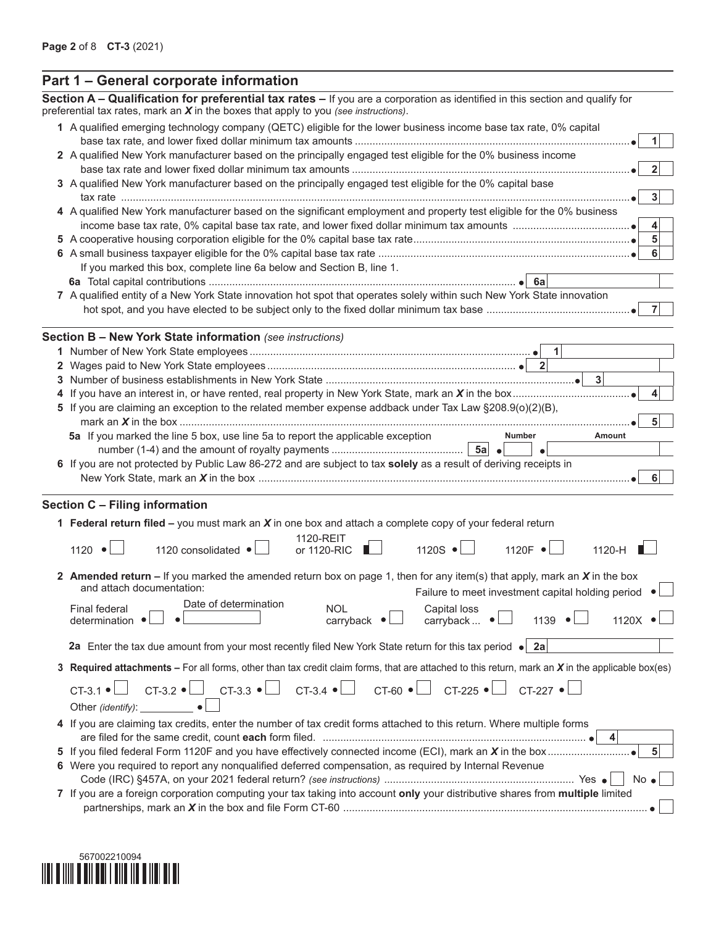| Section A – Qualification for preferential tax rates – If you are a corporation as identified in this section and qualify for<br>preferential tax rates, mark an $X$ in the boxes that apply to you (see instructions). |
|-------------------------------------------------------------------------------------------------------------------------------------------------------------------------------------------------------------------------|
| 1 A qualified emerging technology company (QETC) eligible for the lower business income base tax rate, 0% capital<br>1.                                                                                                 |
| 2 A qualified New York manufacturer based on the principally engaged test eligible for the 0% business income                                                                                                           |
| $\overline{2}$                                                                                                                                                                                                          |
| 3 A qualified New York manufacturer based on the principally engaged test eligible for the 0% capital base                                                                                                              |
| 3 <sup>1</sup>                                                                                                                                                                                                          |
| 4 A qualified New York manufacturer based on the significant employment and property test eligible for the 0% business                                                                                                  |
| 4                                                                                                                                                                                                                       |
| $\overline{5}$                                                                                                                                                                                                          |
| 6                                                                                                                                                                                                                       |
| If you marked this box, complete line 6a below and Section B, line 1.                                                                                                                                                   |
|                                                                                                                                                                                                                         |
| 7 A qualified entity of a New York State innovation hot spot that operates solely within such New York State innovation                                                                                                 |
| - 71                                                                                                                                                                                                                    |
|                                                                                                                                                                                                                         |
| <b>Section B - New York State information</b> (see instructions)                                                                                                                                                        |
|                                                                                                                                                                                                                         |
|                                                                                                                                                                                                                         |
| 3 <sup>1</sup>                                                                                                                                                                                                          |
| 4                                                                                                                                                                                                                       |
| 5 If you are claiming an exception to the related member expense addback under Tax Law §208.9(o)(2)(B),                                                                                                                 |
| 5                                                                                                                                                                                                                       |
| 5a If you marked the line 5 box, use line 5a to report the applicable exception<br>Number<br>Amount                                                                                                                     |
|                                                                                                                                                                                                                         |
| 6 If you are not protected by Public Law 86-272 and are subject to tax solely as a result of deriving receipts in<br>$6 \,$                                                                                             |
|                                                                                                                                                                                                                         |
| Section C - Filing information                                                                                                                                                                                          |
| 1 Federal return filed – you must mark an $X$ in one box and attach a complete copy of your federal return                                                                                                              |
| 1120-REIT                                                                                                                                                                                                               |
| $1120S \cdot$<br>1120 consolidated $\bullet$<br>$\blacksquare$<br>1120 $\mathsf{F} \cdot$<br>1120 $\bullet$<br>1120-H<br>or 1120-RIC                                                                                    |
|                                                                                                                                                                                                                         |
| 2 Amended return – If you marked the amended return box on page 1, then for any item(s) that apply, mark an $X$ in the box                                                                                              |
| and attach documentation:<br>Failure to meet investment capital holding period                                                                                                                                          |
| Date of determination<br><b>NOL</b><br>Final federal<br><b>Capital loss</b>                                                                                                                                             |
| Carryback  ● □<br>$\overline{\text{carryback}}$ $\bullet$ $\Box$<br>1139 $\bullet$<br>1120 $\times$ $\bullet$ $\Box$<br>determination $\bullet$                                                                         |
| 2a Enter the tax due amount from your most recently filed New York State return for this tax period $\bullet$ 2a                                                                                                        |
|                                                                                                                                                                                                                         |
| 3 Required attachments - For all forms, other than tax credit claim forms, that are attached to this return, mark an X in the applicable box(es)                                                                        |
| CT-3.2 $\bullet$ CT-3.3 $\bullet$ CT-3.4 $\bullet$ CT-60 $\bullet$ CT-225 $\bullet$ CT-227 $\bullet$<br>$CT-3.1$ $\bullet$                                                                                              |
|                                                                                                                                                                                                                         |
| 4 If you are claiming tax credits, enter the number of tax credit forms attached to this return. Where multiple forms                                                                                                   |
|                                                                                                                                                                                                                         |
| 5 <sup>1</sup>                                                                                                                                                                                                          |
| 6 Were you required to report any nonqualified deferred compensation, as required by Internal Revenue                                                                                                                   |
| $No \bullet$                                                                                                                                                                                                            |
| 7 If you are a foreign corporation computing your tax taking into account only your distributive shares from multiple limited                                                                                           |
|                                                                                                                                                                                                                         |

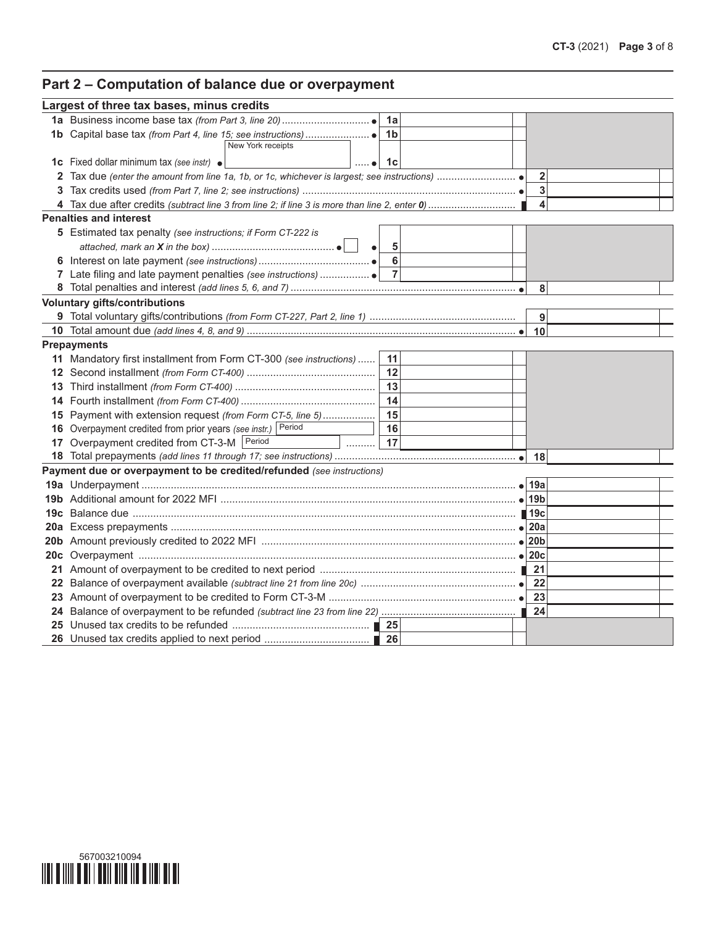# **Part 2 – Computation of balance due or overpayment**

|              | Largest of three tax bases, minus credits                             |                      |                |  |                |  |
|--------------|-----------------------------------------------------------------------|----------------------|----------------|--|----------------|--|
|              |                                                                       |                      | 1a             |  |                |  |
|              |                                                                       |                      | 1 <sub>b</sub> |  |                |  |
|              | New York receipts                                                     |                      |                |  |                |  |
|              | 1c Fixed dollar minimum tax (see instr) .                             | $\ldots$ . $\bullet$ | 1с             |  |                |  |
| $\mathbf{2}$ |                                                                       |                      |                |  | $\overline{2}$ |  |
| 3.           |                                                                       |                      |                |  | 3              |  |
|              |                                                                       |                      |                |  | 4              |  |
|              | <b>Penalties and interest</b>                                         |                      |                |  |                |  |
|              | 5 Estimated tax penalty (see instructions; if Form CT-222 is          |                      |                |  |                |  |
|              |                                                                       |                      | 5              |  |                |  |
|              |                                                                       |                      | $6\phantom{a}$ |  |                |  |
|              |                                                                       |                      |                |  |                |  |
|              |                                                                       |                      |                |  | 8              |  |
|              | <b>Voluntary gifts/contributions</b>                                  |                      |                |  |                |  |
|              |                                                                       |                      |                |  | 9              |  |
|              |                                                                       |                      |                |  | 10             |  |
|              | <b>Prepayments</b>                                                    |                      |                |  |                |  |
|              | 11 Mandatory first installment from Form CT-300 (see instructions)    |                      | 11             |  |                |  |
|              |                                                                       |                      | 12             |  |                |  |
|              |                                                                       |                      | 13             |  |                |  |
|              |                                                                       |                      | 14             |  |                |  |
|              | 15 Payment with extension request (from Form CT-5, line 5)            |                      | 15             |  |                |  |
|              | 16 Overpayment credited from prior years (see instr.) Period          |                      | 16             |  |                |  |
|              | 17 Overpayment credited from CT-3-M   Period<br>.                     |                      | 17             |  |                |  |
|              |                                                                       |                      |                |  |                |  |
|              | Payment due or overpayment to be credited/refunded (see instructions) |                      |                |  |                |  |
|              |                                                                       |                      |                |  |                |  |
|              |                                                                       |                      |                |  |                |  |
|              |                                                                       |                      |                |  |                |  |
|              |                                                                       |                      |                |  |                |  |
|              |                                                                       |                      |                |  |                |  |
|              |                                                                       |                      |                |  |                |  |
|              |                                                                       |                      |                |  |                |  |
|              |                                                                       |                      |                |  |                |  |
|              |                                                                       |                      |                |  |                |  |
|              |                                                                       |                      |                |  | 24             |  |
|              |                                                                       |                      |                |  |                |  |
|              |                                                                       |                      |                |  |                |  |

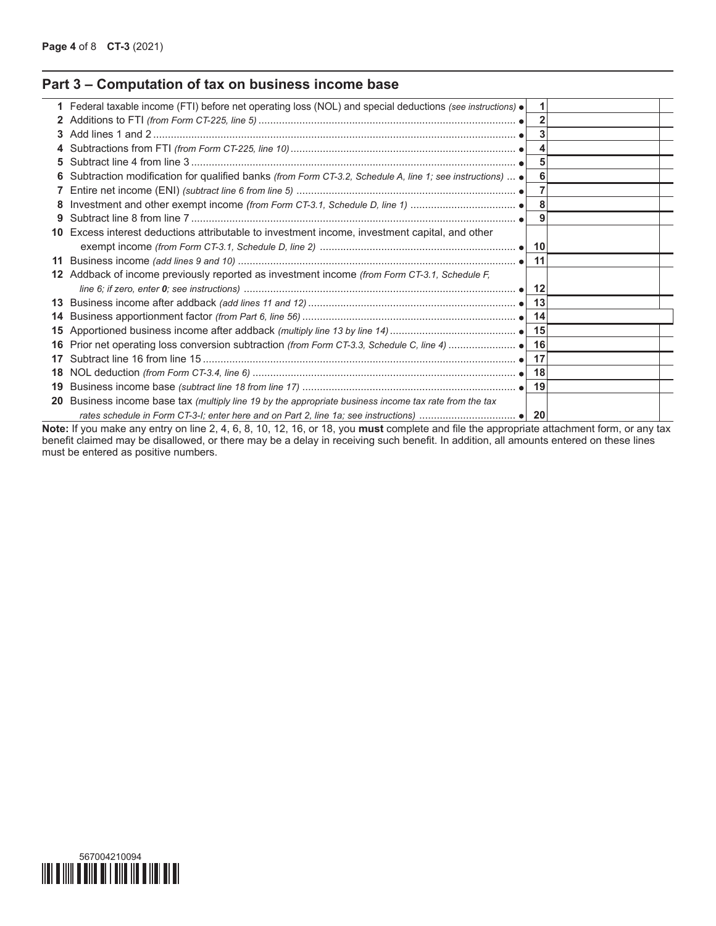## **Part 3 – Computation of tax on business income base**

|              | 1 Federal taxable income (FTI) before net operating loss (NOL) and special deductions (see instructions) .      | 1.  |  |
|--------------|-----------------------------------------------------------------------------------------------------------------|-----|--|
| $\mathbf{2}$ |                                                                                                                 |     |  |
| З.           |                                                                                                                 |     |  |
| 4            |                                                                                                                 |     |  |
| 5.           |                                                                                                                 | 5   |  |
|              | Subtraction modification for qualified banks (from Form CT-3.2, Schedule A, line 1; see instructions) $\bullet$ | 6   |  |
|              |                                                                                                                 |     |  |
|              |                                                                                                                 | 8   |  |
| 9            |                                                                                                                 |     |  |
| 10           | Excess interest deductions attributable to investment income, investment capital, and other                     |     |  |
|              |                                                                                                                 |     |  |
| 11           |                                                                                                                 | 11  |  |
| 12           | Addback of income previously reported as investment income (from Form CT-3.1, Schedule F,                       |     |  |
|              |                                                                                                                 |     |  |
| 13           |                                                                                                                 |     |  |
| 14           |                                                                                                                 |     |  |
| 15           |                                                                                                                 |     |  |
| 16           | Prior net operating loss conversion subtraction (from Form CT-3.3, Schedule C, line 4)  ● 16                    |     |  |
| 17           |                                                                                                                 | -17 |  |
| 18           |                                                                                                                 |     |  |
| 19           |                                                                                                                 | 19  |  |
| 20           | Business income base tax (multiply line 19 by the appropriate business income tax rate from the tax             |     |  |
|              |                                                                                                                 |     |  |

**Note:** If you make any entry on line 2, 4, 6, 8, 10, 12, 16, or 18, you **must** complete and file the appropriate attachment form, or any tax benefit claimed may be disallowed, or there may be a delay in receiving such benefit. In addition, all amounts entered on these lines must be entered as positive numbers.

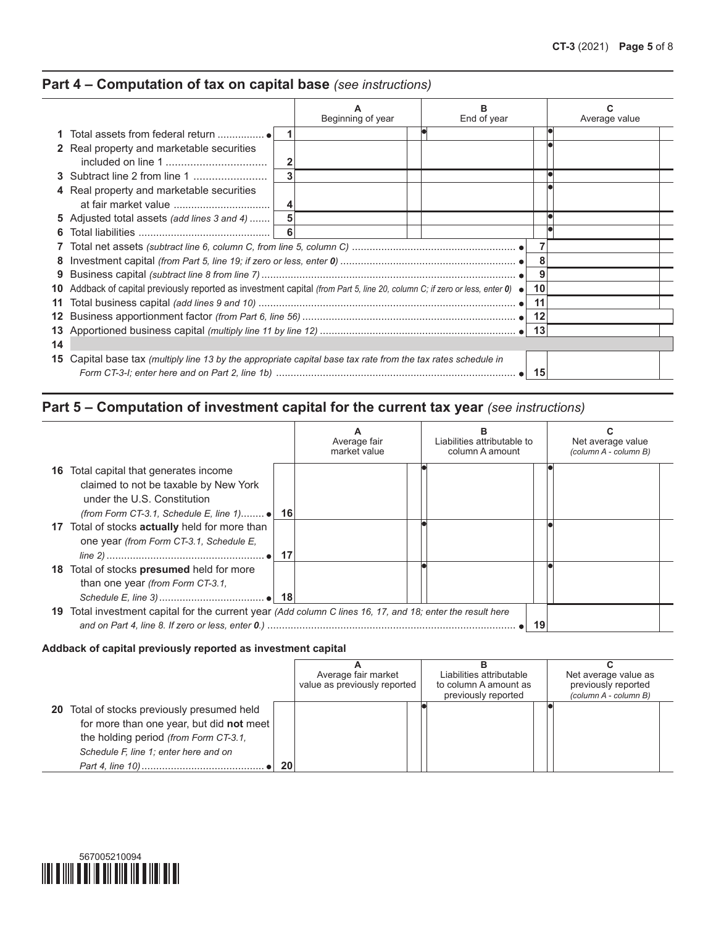## **Part 4 – Computation of tax on capital base** *(see instructions)*

 $\frac{1}{2}$ 

|    |                                                                                                                                   | Beginning of year | End of year | Average value |
|----|-----------------------------------------------------------------------------------------------------------------------------------|-------------------|-------------|---------------|
|    |                                                                                                                                   |                   |             |               |
|    | <b>2</b> Real property and marketable securities                                                                                  |                   |             |               |
|    |                                                                                                                                   | $\overline{2}$    |             |               |
|    | <b>3</b> Subtract line 2 from line 1                                                                                              | 3                 |             |               |
|    | 4 Real property and marketable securities                                                                                         |                   |             |               |
|    |                                                                                                                                   | 4                 |             |               |
|    | 5 Adjusted total assets (add lines 3 and 4)                                                                                       |                   |             |               |
| 6  |                                                                                                                                   | -6                |             |               |
|    |                                                                                                                                   |                   |             |               |
| 8  |                                                                                                                                   |                   |             |               |
| 9  |                                                                                                                                   |                   | 9           |               |
|    | Addback of capital previously reported as investment capital (from Part 5, line 20, column C; if zero or less, enter 0) $\bullet$ |                   | 10          |               |
| 11 |                                                                                                                                   |                   | 11          |               |
| 12 |                                                                                                                                   |                   | 12          |               |
| 13 |                                                                                                                                   |                   |             |               |
| 14 |                                                                                                                                   |                   |             |               |
| 15 | Capital base tax (multiply line 13 by the appropriate capital base tax rate from the tax rates schedule in                        |                   |             |               |

# **Part 5 – Computation of investment capital for the current tax year** *(see instructions)*

|                                                                                                                       | Average fair<br>market value | Liabilities attributable to<br>column A amount | Net average value<br>(column A - column B) |
|-----------------------------------------------------------------------------------------------------------------------|------------------------------|------------------------------------------------|--------------------------------------------|
| <b>16</b> Total capital that generates income<br>claimed to not be taxable by New York<br>under the U.S. Constitution |                              |                                                |                                            |
| (from Form CT-3.1, Schedule E, line 1) $\bullet$   16                                                                 |                              |                                                |                                            |
| 17 Total of stocks <b>actually</b> held for more than                                                                 |                              |                                                |                                            |
| one year (from Form CT-3.1, Schedule E,                                                                               |                              |                                                |                                            |
| 18 Total of stocks presumed held for more<br>than one year (from Form CT-3.1,                                         |                              |                                                |                                            |
|                                                                                                                       |                              |                                                |                                            |
| 19 Total investment capital for the current year (Add column C lines 16, 17, and 18; enter the result here            |                              |                                                |                                            |
|                                                                                                                       |                              | 19                                             |                                            |

#### **Addback of capital previously reported as investment capital**

|                                                                                                                                                                                  |     | Average fair market<br>value as previously reported | Liabilities attributable<br>to column A amount as<br>previously reported | Net average value as<br>previously reported<br>(column A - column B) |
|----------------------------------------------------------------------------------------------------------------------------------------------------------------------------------|-----|-----------------------------------------------------|--------------------------------------------------------------------------|----------------------------------------------------------------------|
| <b>20</b> Total of stocks previously presumed held<br>for more than one year, but did not meet<br>the holding period (from Form CT-3.1,<br>Schedule F, line 1; enter here and on | -20 |                                                     |                                                                          |                                                                      |

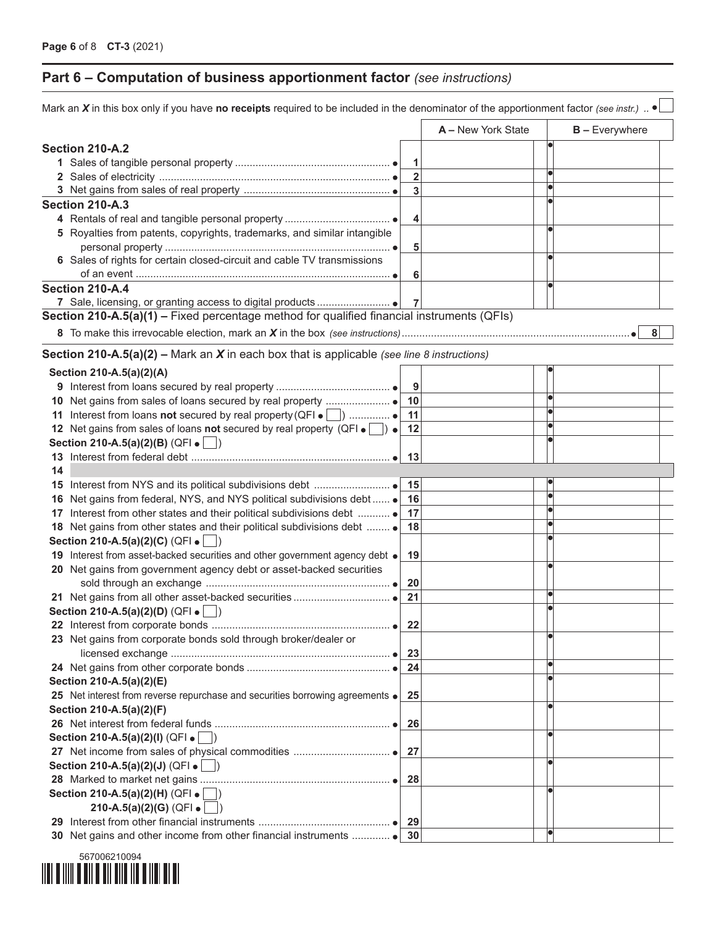## **Part 6 – Computation of business apportionment factor** *(see instructions)*

|    | Mark an X in this box only if you have no receipts required to be included in the denominator of the apportionment factor (see instr.) . |                         |                    |                  |
|----|------------------------------------------------------------------------------------------------------------------------------------------|-------------------------|--------------------|------------------|
|    |                                                                                                                                          |                         | A - New York State | $B -$ Everywhere |
|    | Section 210-A.2                                                                                                                          |                         |                    |                  |
|    |                                                                                                                                          | 1                       |                    |                  |
|    |                                                                                                                                          | $\overline{\mathbf{2}}$ |                    |                  |
|    |                                                                                                                                          | 3                       |                    |                  |
|    | <b>Section 210-A.3</b>                                                                                                                   |                         |                    |                  |
|    |                                                                                                                                          | 4                       |                    |                  |
|    | 5 Royalties from patents, copyrights, trademarks, and similar intangible                                                                 |                         |                    |                  |
|    |                                                                                                                                          | 5                       |                    |                  |
|    | 6 Sales of rights for certain closed-circuit and cable TV transmissions                                                                  |                         |                    |                  |
|    |                                                                                                                                          | 6                       |                    |                  |
|    | Section 210-A.4                                                                                                                          |                         |                    |                  |
|    |                                                                                                                                          | 7                       |                    |                  |
|    | Section 210-A.5(a)(1) – Fixed percentage method for qualified financial instruments (QFIs)                                               |                         |                    |                  |
|    |                                                                                                                                          |                         |                    | 8                |
|    | <b>Section 210-A.5(a)(2) – Mark an X in each box that is applicable (see line 8 instructions)</b>                                        |                         |                    |                  |
|    | Section 210-A.5(a)(2)(A)                                                                                                                 |                         |                    |                  |
|    |                                                                                                                                          | 9                       |                    |                  |
|    |                                                                                                                                          | 10                      |                    |                  |
|    | 11 Interest from loans not secured by real property (QFI $\bullet$ )                                                                     | 11                      |                    |                  |
|    | 12 Net gains from sales of loans not secured by real property (QFI $\bullet$ ) $\bullet$                                                 | 12                      |                    |                  |
|    | Section 210-A.5(a)(2)(B) (QFI $\bullet$                                                                                                  |                         |                    |                  |
|    |                                                                                                                                          | 13                      |                    |                  |
| 14 |                                                                                                                                          |                         |                    |                  |
|    |                                                                                                                                          | 15                      |                    |                  |
|    | 16 Net gains from federal, NYS, and NYS political subdivisions debt  .                                                                   | 16                      |                    |                  |
|    | 17 Interest from other states and their political subdivisions debt                                                                      | 17                      |                    |                  |
|    | 18 Net gains from other states and their political subdivisions debt  .                                                                  | 18                      |                    |                  |
|    | Section 210-A.5(a)(2)(C) (QFI .                                                                                                          |                         |                    |                  |
|    | 19 Interest from asset-backed securities and other government agency debt .                                                              | 19                      |                    |                  |
|    | 20 Net gains from government agency debt or asset-backed securities                                                                      |                         |                    |                  |
|    |                                                                                                                                          | 20                      |                    |                  |
|    |                                                                                                                                          | 21                      |                    |                  |
|    | Section 210-A.5(a)(2)(D) (QFI $\bullet$                                                                                                  |                         |                    |                  |
|    |                                                                                                                                          | 22                      |                    |                  |
|    | 23 Net gains from corporate bonds sold through broker/dealer or                                                                          |                         |                    |                  |
|    |                                                                                                                                          | 23                      |                    |                  |
|    |                                                                                                                                          | 24                      |                    |                  |
|    | Section 210-A.5(a)(2)(E)                                                                                                                 |                         |                    |                  |
|    | 25 Net interest from reverse repurchase and securities borrowing agreements .                                                            | 25                      |                    |                  |
|    | Section 210-A.5(a)(2)(F)                                                                                                                 |                         |                    |                  |
|    |                                                                                                                                          | 26                      |                    |                  |
|    | Section 210-A.5(a)(2)(I) (QFI $\bullet$ \[ )                                                                                             |                         |                    |                  |
|    |                                                                                                                                          | -27                     |                    |                  |
|    | Section 210-A.5(a)(2)(J) (QFI .                                                                                                          |                         |                    |                  |
|    |                                                                                                                                          | 28                      |                    |                  |
|    | Section 210-A.5(a)(2)(H) (QFI $\bullet$                                                                                                  |                         |                    |                  |
|    | 210-A.5(a)(2)(G) (QFI $\bullet$ [                                                                                                        |                         |                    |                  |
|    |                                                                                                                                          | 29                      |                    |                  |
|    | 30 Net gains and other income from other financial instruments                                                                           | 30                      |                    |                  |
|    |                                                                                                                                          |                         |                    |                  |

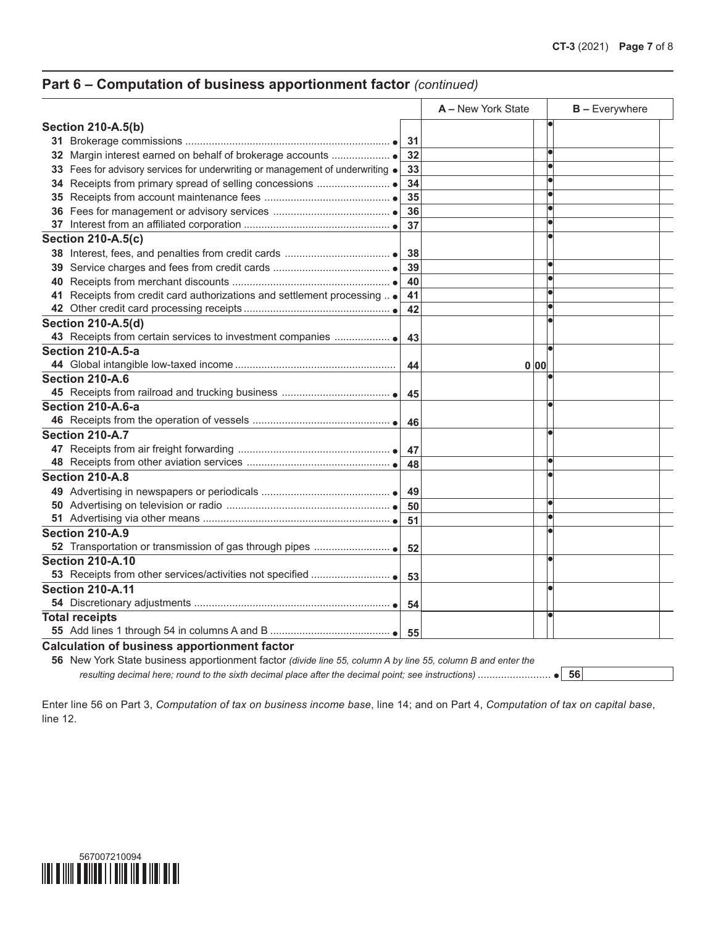### **Part 6 – Computation of business apportionment factor** *(continued)*

|                                                                                        |     | A - New York State |      | <b>B</b> - Everywhere |
|----------------------------------------------------------------------------------------|-----|--------------------|------|-----------------------|
| <b>Section 210-A.5(b)</b>                                                              |     |                    |      |                       |
|                                                                                        | -31 |                    |      |                       |
|                                                                                        | 32  |                    |      |                       |
| 33 Fees for advisory services for underwriting or management of underwriting $\bullet$ | 33  |                    |      |                       |
|                                                                                        | 34  |                    |      |                       |
|                                                                                        | 35  |                    |      |                       |
|                                                                                        | 36  |                    |      |                       |
|                                                                                        | 37  |                    |      |                       |
| <b>Section 210-A.5(c)</b>                                                              |     |                    |      |                       |
|                                                                                        | 38  |                    |      |                       |
|                                                                                        | 39  |                    |      |                       |
|                                                                                        | 40  |                    |      | Ō                     |
| 41 Receipts from credit card authorizations and settlement processing  .               | 41  |                    |      |                       |
|                                                                                        | 42  |                    |      |                       |
| <b>Section 210-A.5(d)</b>                                                              |     |                    |      |                       |
|                                                                                        | 43  |                    |      |                       |
| Section 210-A.5-a                                                                      |     |                    |      |                       |
|                                                                                        | 44  |                    | 0 00 |                       |
| Section 210-A.6                                                                        |     |                    |      |                       |
|                                                                                        | 45  |                    |      |                       |
| Section 210-A.6-a                                                                      |     |                    |      |                       |
|                                                                                        | 46  |                    |      |                       |
| Section 210-A.7                                                                        |     |                    |      |                       |
|                                                                                        | 47  |                    |      |                       |
|                                                                                        | 48  |                    |      |                       |
| Section 210-A.8                                                                        |     |                    |      |                       |
|                                                                                        | 49  |                    |      |                       |
|                                                                                        | 50  |                    |      |                       |
|                                                                                        | 51  |                    |      |                       |
| Section 210-A.9                                                                        |     |                    |      |                       |
|                                                                                        | 52  |                    |      |                       |
| <b>Section 210-A.10</b>                                                                |     |                    |      |                       |
|                                                                                        | 53  |                    |      |                       |
| <b>Section 210-A.11</b>                                                                |     |                    |      |                       |
|                                                                                        | -54 |                    |      |                       |
| <b>Total receipts</b>                                                                  |     |                    |      |                       |
|                                                                                        | -55 |                    |      |                       |
| <b>Calculation of business apportionment factor</b>                                    |     |                    |      |                       |

**56** New York State business apportionment factor *(divide line 55, column A by line 55, column B and enter the resulting decimal here; round to the sixth decimal place after the decimal point; see instructions)* ......................... **56**

Enter line 56 on Part 3, *Computation of tax on business income base*, line 14; and on Part 4, *Computation of tax on capital base*, line 12.